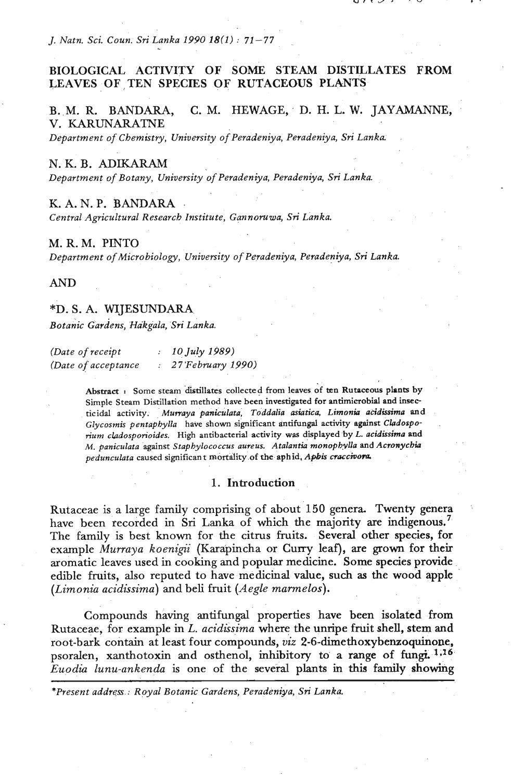*J. Natn. Sci. Coun. Sri Lanka 1990 18(1)* : *71-77* 

# **BIOLOGICAL ACTIVITY OF SOME STEAM DISTILLATES FROM**  LEAVES OF TEN SPECIES OF RUTACEOUS PLANTS

B. M. R. BANDARA, C. M. HEWAGE, D. H. L. W. JAYAMANNE, V. KARUNARATNE

*Department of Chemistry, University of Peradeniya, Peradeniya, Sri Lanka* 

## N. K. B. ADIKARAM

*Department of Botany, University of Peradeniya, Peradeniya, Sri Lanka.* 

## K. A. N. **P.** BANDARA

*Central Agricultural Research Institute, Gannomwa, Sri Lanka.* 

#### M. R. M. **PINTO**

*Department of Microbiology, University of Peradeniya, Peradeniya, Sri Lanka.* 

### AND

## \*D. *S.* A. WIJESUNDARA

*~otanic ~ardens, Ha'kgala,'Sri Lanka.* 

| (Date of receipt)   | 10 July 1989)     |
|---------------------|-------------------|
| (Date of acceptance | 27 February 1990) |

Abstract : Some steam distillates collected from leaves of ten Rutaceous plants by **Simple Steam Distillation method have been investigated for antimicrobid and insecticidal activity.** *Muwaya paniculata, Toddalia asiatica. Lirnonia acidissima* **and**  Glycosmis pentaphylla have shown significant antifungal activity against Cladospo*rium cladosponoides.* **High antibacterial activity was displayed by** *L. acidissima and M. paniculata* **against** *Staphylococcus aureus. Atalantia monoph,vUa and Acrorychia pedunculata* **caused significant mortality of the aphid.A@is** *cracchora* 

#### 1. Introduction

Rutaceae is a large family comprising of about 150 genera. Twenty genera have been recorded in **Sri Lanka** of which the majority are indigenous.' The family is best known for the citrus fruits. Several other species, for example *Murraya koenigii* (Karapincha or Curry leaf), are grown for their aromatic leaves used in cooking and popular medicine. **Some** species provide edible fruits, also reputed to have medicinal value, such as the wood apple *(Limonia acidissima)* and beli fruit *(Aegle mamelos).* 

Compounds having antifungal properties have been isolated from Rutaceae, for example in L. *acidissima* where the unripe fruit shell, stem and root-bark contain at least four compounds, *viz* 2-6-dimethoxybenzoquinone, psoralen, xanthotoxin and osthenol, inhibitory to a range of fungi. 1,16 *Euodia lunu-ankenda* is one of the several plants in this family showing

*\*Present address* : *Royal Botanic Gardens, Peradeniya, Sri Lanka.*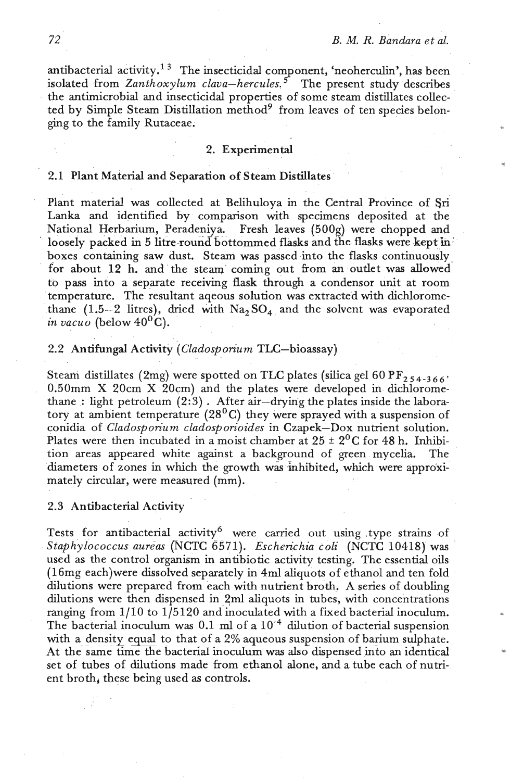antibacterial activity.<sup>13</sup> The insecticidal component, 'neoherculin', has been isolated from *Zanthoxylum clava-hercules.*<sup>5</sup> The present study describes the antimicrobial and insecticidal properties of some steam distillates collected by Simple Steam Distillation method<sup>9</sup> from leaves of ten species belonging to the family Rutaceae. **.** 

#### 2. Experimental

# 2.1 Plant Material and Separation of Steam Distillates

Plant material was collected at Belihuloya in the Central Province of **Sri**  Lanka and identified by comparison with specimens deposited at the National Herbarium, Peradeniya, Fresh leaves (500g) were chopped and **<sup>a</sup>**loosely packed in 5 litre-round bottommed flasks and the flasks were kept **in:**  boxes containing saw dust. Steam was passed into the flasks continuouslyfor about  $12$  h. and the steam coming out from an outlet was allowed to pass into a separate receiving flask through a condensor unit at room temperature. The resultant aqeous solution was extracted with dichloromethane (1.5-2 litres), dried with  $Na<sub>2</sub>SO<sub>4</sub>$  and the solvent was evaporated *in vacuo* (below  $40^{\circ}$ C).

## 2.2 Antifungal Activity *(Cladosporium TLC*-bioassay)

. .

Steam distillates (2mg) were spotted on TLC plates (silica gel 60 PF<sub>2 54-366</sub> 0.50mm X 20cm X 20cm) and the plates were developed in dichloromethane : light petroleum  $(2:3)$ . After air-drying the plates inside the laboratory at ambient temperature (28<sup>0</sup>C) they were sprayed with a suspension of conidia of *Cladosporium cladosporioides* in Czapek-Dox nutrient solution. Plates were then incubated in a moist chamber at  $25 \pm 2^0$ C for 48 h. Inhibition areas appeared white against a background of green mycelia. The diameters of zones in which the growth **wis** inhibited, which were approximately circular, were measured (mm).

### 2.3 Antibacterial Activity

Tests for antibacterial activity<sup>6</sup> were carried out using type strains of Staphylococcus aureas (NCTC 6571). Escherichia coli (NCTC 10418) was used as the control organism in antibiotic activity testing. The essential oils (16mg each)were dissolved separately in **4ml** aliquots of ethanol and ten fold dilutions were prepared from each with nutrient broth. A series of doubling dilutions were then dispensed in 2ml aliquots in tubes, with concentrations ranging from 1/10 to 1/5120 and inoculated with a fixed bacterial inoculum. The bacterial inoculum was  $0.1$  ml of a  $10^{-4}$  dilution of bacterial suspension with a density equal to that of a  $2\%$  aqueous suspension of barium sulphate. At the same time the bacterial inoculum was also dispensed into an identical set of tubes of dilutions made from ethanol alone, and a tube each of nutrient broth, these being used as controls.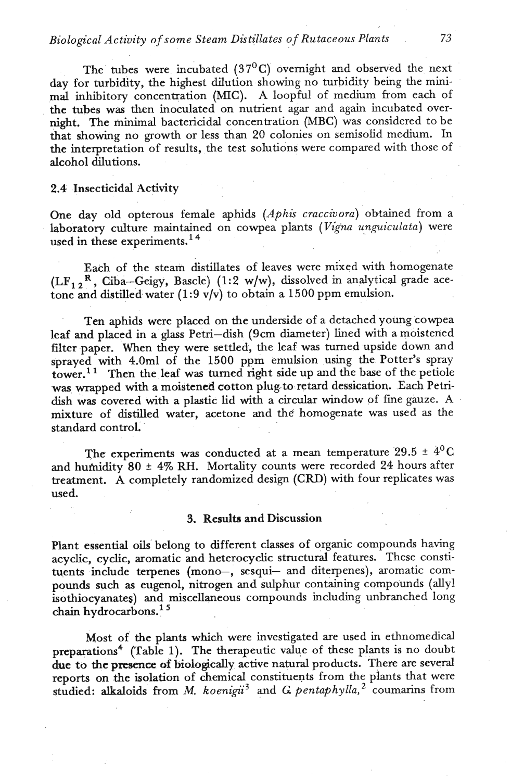# *Biological Activity of some Steam Distillates of Rutaceous Plants* 73

The tubes were incubated  $(37<sup>0</sup>C)$  overnight and observed the next day for turbidity, the highest dilution showing no turbidity being the minimal inhibitory concentration (MIC). A loopful of medium from each of the tubes was then inoculated on nutrient agar and again incubated overnight. The minimal bactericidal concentration **(MBC)** was considered to be that showing no growth or less than 20 colonies on semisolid medium. In the interpretation of results, the test solutions were compared with those of alcohol dilutions.

## 2.4 Insecticidal Activity

One day old opterous female aphids *(Aphis craccivora)* obtained from a laboratory culture maintained on cowpea plants *(Vigna unguiculata)* were used in these experiments.<sup>14</sup>

Each of the steam distillates of leaves were mixed with homogenate  $(LF_1, R, Ciba-Geigy, Bascle)$  (1:2 w/w), dissolved in analytical grade acetone and distilled water (1 **:9** v/v) to obtain a 1500 ppm emulsion.

Ten aphids were placed on the underside of a detached young cowpea leaf and placed in a glass Petri-dish **(9cm** diameter) lined with a moistened filter paper. When they were settled, the leaf was tuned upside down and sprayed with 4.0ml of the 1500 ppm emulsion using the Potter's spray tower.<sup>11</sup> Then the leaf was turned right side up and the base of the petiole was wrapped with a moistened cotton plug. to retard dessication. Each Petridish was covered with a plastic Lid with a circular window of fine gauze. A mixture of distilled water, acetone and the homogenate was used as the standard control.

The experiments was conducted at a mean temperature  $29.5 \pm 4^{0}C$ and humidity 80  $\pm$  4% RH. Mortality counts were recorded 24 hours after treatment. A completely randomized design (CRD) with four replicates was used.

## 3. Results and Discussion

Plant essential oils belong to different classes of organic compounds having acyclic, cyclic, aromatic and heterocyclic structural features. These constituents include terpenes (mono-, sesqui- and diterpenes), aromatic compounds **such** as eugenol, nitrogen and sulphur containing compounds (ally1 isothiocyanates) and miscellaneous compounds including unbranched long **chain** hydrocarbons.'

Most of the plants which were investigated are used in ethnomedical preparations<sup>4</sup> (Table 1). The therapeutic value of these plants is no doubt due to the **prrsence** of biologically active natural products. There are several reports on the isolation of chemical constituents from the plants that were studied: alkaloids from *M. koenigii*<sup>3</sup> and *G. pentaphylla*,<sup>2</sup> coumarins from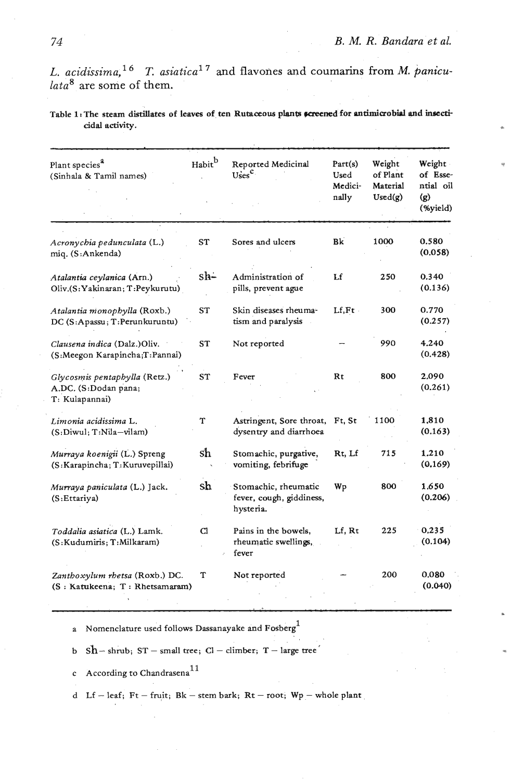L. acidissima,<sup>16</sup> T. asiatica<sup>17</sup> and flavones and coumarins from M. panicu*lata8* are some of them.

Table 1: The steam distillates of leaves of ten Rutaceous plants screened for antimicrobial and insecti**cidal** activity.

| Plant species <sup>a</sup><br>(Sinhala & Tamil names)                   | Habitb    | Reported Medicinal<br>Uses <sup>c</sup>                       | Part(s)<br>Used<br>Medici- | Weight<br>of Plant<br>Material | Weight<br>of Esse-<br>ntial oil |  |
|-------------------------------------------------------------------------|-----------|---------------------------------------------------------------|----------------------------|--------------------------------|---------------------------------|--|
|                                                                         |           |                                                               | nally                      | $\text{Used}(g)$               | (g)<br>(%yield)                 |  |
| Acronychia pedunculata (L.)<br>miq. (S:Ankenda)                         | ST        | Sores and ulcers                                              | Bk                         | 1000                           | 0.580<br>(0.058)                |  |
| Atalantia ceylanica (Arn.)<br>Oliv.(S: Yakinaran; T: Peykurutu)         | sh-       | Administration of<br>pills, prevent ague                      | Lf                         | 250                            | 0.340<br>(0.136)                |  |
| Atalantia monophylla (Roxb.)<br>DC (S:Apassu; T:Perunkuruntu)           | <b>ST</b> | Skin diseases rheuma-<br>tism and paralysis                   | Lf.Ft                      | 300                            | 0.770<br>(0.257)                |  |
| Clausena indica (Dalz.)Oliv.<br>(S:Meegon Karapincha;T:Pannai)          | ST        | Not reported                                                  |                            | 990                            | 4.240<br>(0.428)                |  |
| Glycosmis pentaphylla (Retz.)<br>A.DC. (S:Dodan pana;<br>T: Kulapannai) | <b>ST</b> | Fever                                                         | Rt                         | 800                            | 2.090<br>(0.261)                |  |
| Limonia acidissima L.<br>(S:Diwul; T:Nila-vilam)                        | Т         | Astringent, Sore throat,<br>dysentry and diarrhoea            | Ft, St                     | 1100                           | 1,810<br>(0.163)                |  |
| Murraya koenigii (L.) Spreng<br>(S:Karapincha; T:Kuruvepillai)          | sh        | Stomachic, purgative,<br>vomiting, febrifuge                  | Rt, Lf                     | 715                            | 1.210<br>(0.169)                |  |
| Murraya paniculata (L.) Jack.<br>(S:Ettariya)                           | sh        | Stomachic, rheumatic<br>fever, cough, giddiness,<br>hysteria. | Wp                         | 800                            | 1.650<br>(0.206)                |  |
| Toddalia asiatica (L.) Lamk.<br>(S:Kudumiris; T:Milkaram)               | Cl        | Pains in the bowels,<br>rheumatic swellings,<br>fever         | Lf, Rt                     | 225                            | 0.235<br>(0.104)                |  |
| Zanthoxylum rhetsa (Roxb.) DC.<br>(S: Katukeena; T: Rhetsamaram)        | т         | Not reported                                                  |                            | 200                            | 0.080<br>(0.040)                |  |

a Nomenclature used follows Dassanayake and Fosberg **<sup>1</sup>**

b  $Sh$  - shrub;  $ST$  - small tree;  $Cl$  - climber;  $T$  - large tree

c According to Chandrasena **<sup>11</sup>**

d Lf - leaf; Ft - fruit; Bk - stem bark; Rt - root;  $Wp$  - whole plant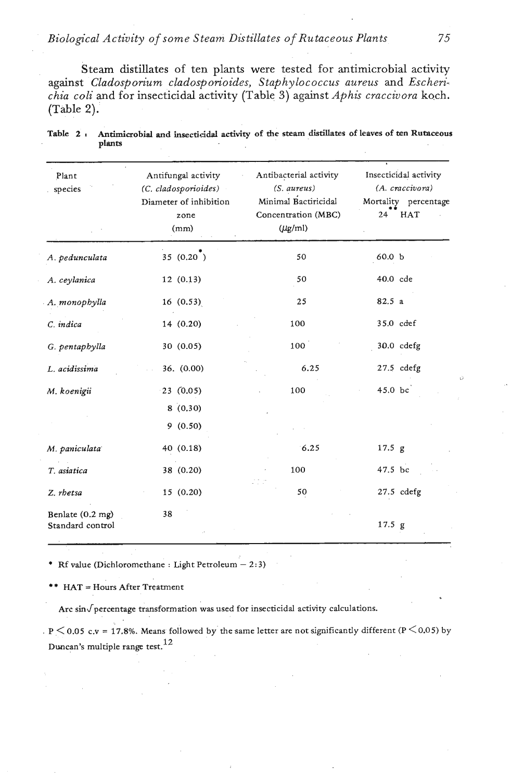# *Biological Activity of some Steam Distillates of Rutaceous Plants 75*

Steam distillates of ten plants were tested for antimicrobial activity against *Cladosporium cladosporioides, Staphylococcus aureus* and *Escherichia coli and for insecticidal activity (Table 3) against Aphis craccivora koch.* (Table **2).** 

| Plant<br>species                     | Antifungal activity<br>(C. cladosporioides)<br>Diameter of inhibition<br>zone<br>(mm) | Antibacterial activity<br>$(S. \text{ aureus})$<br>Minimal Bactiricidal<br>Concentration (MBC)<br>$(\mu$ g/ml) | Insecticidal activity<br>(A. craccivora)<br>Mortality percentage<br>24<br>HAT |  |  |  |
|--------------------------------------|---------------------------------------------------------------------------------------|----------------------------------------------------------------------------------------------------------------|-------------------------------------------------------------------------------|--|--|--|
| A. pedunculata                       | 35 (0.20)                                                                             | 50                                                                                                             | 60.0 <sub>b</sub>                                                             |  |  |  |
| A. ceylanica                         | 12(0.13)                                                                              | 50                                                                                                             | 40.0 cde                                                                      |  |  |  |
| A. monophylla                        | 16(0.53)                                                                              | 25                                                                                                             | 82.5 a                                                                        |  |  |  |
| C. indica                            | 14 (0.20)                                                                             | 100                                                                                                            | 35.0 cdef                                                                     |  |  |  |
| G. pentaphylla                       | 30 (0.05)                                                                             | 100                                                                                                            | 30.0 cdefg                                                                    |  |  |  |
| L. acidissima                        | 36. (0.00)                                                                            | 6.25                                                                                                           | $27.5$ cdefg                                                                  |  |  |  |
| M. koenigii                          | 23(0.05)                                                                              | 100                                                                                                            | 45.0 bc                                                                       |  |  |  |
|                                      | 8(0.30)                                                                               |                                                                                                                |                                                                               |  |  |  |
|                                      | 9(0.50)                                                                               |                                                                                                                |                                                                               |  |  |  |
| M. paniculata                        | 40 (0.18)                                                                             | 6.25                                                                                                           | 17.5 g                                                                        |  |  |  |
| T. asiatica                          | 38 (0.20)                                                                             | 100                                                                                                            | 47.5 bc                                                                       |  |  |  |
| Z. rhetsa                            | 15(0.20)                                                                              | 50                                                                                                             | $27.5$ cdefg                                                                  |  |  |  |
| Benlate (0.2 mg)<br>Standard control | 38                                                                                    |                                                                                                                | $17.5$ g                                                                      |  |  |  |

|  | Table 2 . Antimicrobial and insecticidal activity of the steam distillates of leaves of ten Rutaceous |  |  |  |  |  |
|--|-------------------------------------------------------------------------------------------------------|--|--|--|--|--|
|  | plants                                                                                                |  |  |  |  |  |

\* Rf value (Dichloromethane : Light Petroleum  $-2:3$ )

\*\* HAT = Hours After Treatment

Arc  $\sin$  percentage transformation was used for insecticidal activity calculations.

**<sup>P</sup>**< **0.05** c.v = **17.8%.** Means followed **by** thesarne letter are not significantly different **(P** < **0.05) by**  Duncan's multiple range test. **<sup>12</sup>**

U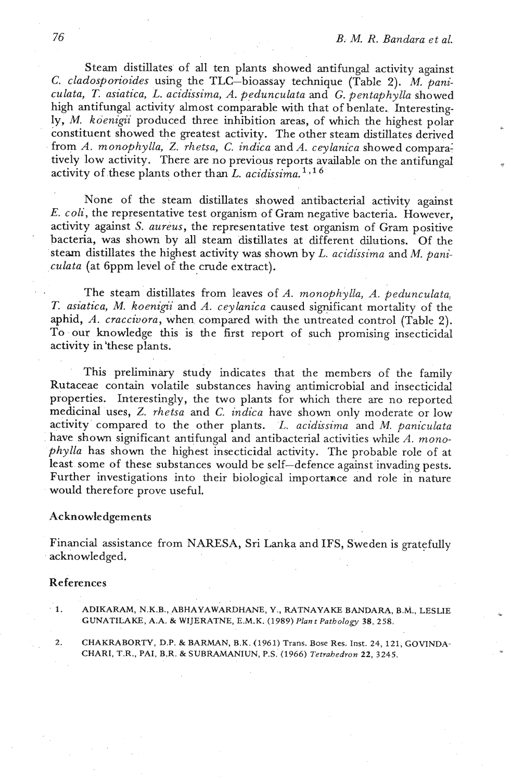Steam distillates of all ten plants showed antifungal activity against *C. cladosporioides* using the TLC-bioassay technique (Table 2). M. *paniculata, T. asiatica, L. acidissima, A. pedunculata* and *G. pentaphylla* showed high antifungal activity almost comparable with that of benlate. Interestingly, M. *koenigii* produced three inhibition areas, of which the highest polar **<sup>L</sup>** constituent showed the greatest activity. The other steam distillates derived from *A. monophylla,* 2. *rhetsa, C. indica* and *A. ceylanica* showed cornpara: tively low activity. There are no previous reports available on the antifungal <sup>q</sup> activity of these plants other than L. *acidissima.* 

None of the steam distillates showed antibacterial activity against E. *coli,* the representative test organism of Gram negative bacteria. However, activity against S. *aureus,* the representative test organism of Gram positive bacteria, was shown by all steam distillates at different dilutions. Of the steam distillates the highest activity was shown by L. *acidissima* and *M. paniculata* (at 6ppm level of the crude extract).

The steam distillates from leaves of *A. monophylla, A. pedunculata, T. asiatica, M. koenip'i* and *A. ceylanica* caused significant mortality of the aphid, *A. craccivora,* when compared with the untreated control (Table 2). To our knowledge this is the first report of such promising insecticidal activity in 'these plants.

This preliminary study indicates that the members of the family Rutaceae contain volatile substances having antimicrobial and insecticidal properties. Interestingly, the two plants for which there are no reported medicinal uses, 2. *rhetsa* and *C. indica* have shown only moderate or low activity compared to the other plants. L. *acidissima* and *M. paniculata* have shown significant antifungal and antibacterial activities while *A. monophylla* has shown the highest insecticidal activity. The probable role of at least some of these substances would be self-defence against invading pests. Further investigations into their biological importance and role in nature would therefore prove useful.

#### Acknowledgements

Financial assistance from NARESA, Sri Lanka and IFS, Sweden is gratefully acknowledged.

# References

- **1. ADIKARAM, N.K.B., ABHAYAWARDHANE, Y., RATNAYAKE BANDARA, B.M., LESLIE** *r.*  **CUNATILAKE, A.A.** & **WIJERATNE, E.M.K. (1989)** *Plant Pathology* **38, 258.**
- **2. CHAKRABORTY, D.P.** & **BARMAN, B.K. (1961) Trans. Bose Res.** Inst. **24, 121, GOVINDA-CHARI, T.R., PAI, B.R. & SUBRAMANIUN, P.S. (1966) Tetrahedron 22, 3245.**